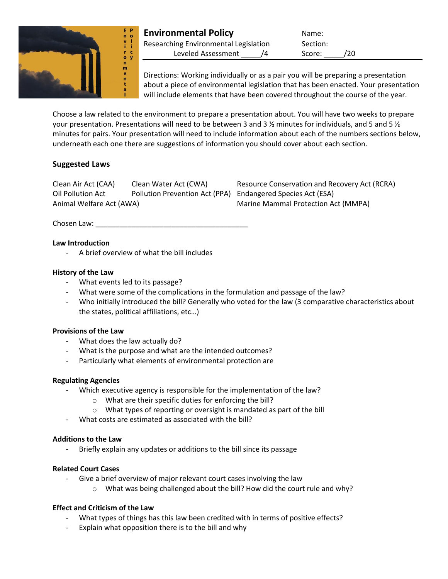

| <b>Environmental Policy</b>           | Name:         |
|---------------------------------------|---------------|
| Researching Environmental Legislation | Section:      |
| Leveled Assessment                    | /20<br>Score: |

Directions: Working individually or as a pair you will be preparing a presentation about a piece of environmental legislation that has been enacted. Your presentation will include elements that have been covered throughout the course of the year.

Choose a law related to the environment to prepare a presentation about. You will have two weeks to prepare your presentation. Presentations will need to be between 3 and 3  $\frac{1}{2}$  minutes for individuals, and 5 and 5  $\frac{1}{2}$ minutes for pairs. Your presentation will need to include information about each of the numbers sections below, underneath each one there are suggestions of information you should cover about each section.

# **Suggested Laws**

Clean Air Act (CAA) Clean Water Act (CWA) Resource Conservation and Recovery Act (RCRA) Oil Pollution Act Pollution Prevention Act (PPA) Endangered Species Act (ESA) Animal Welfare Act (AWA) Marine Mammal Protection Act (MMPA)

Chosen Law:

## **Law Introduction**

- A brief overview of what the bill includes

#### **History of the Law**

- What events led to its passage?
- What were some of the complications in the formulation and passage of the law?
- Who initially introduced the bill? Generally who voted for the law (3 comparative characteristics about the states, political affiliations, etc…)

## **Provisions of the Law**

- What does the law actually do?
- What is the purpose and what are the intended outcomes?
- Particularly what elements of environmental protection are

## **Regulating Agencies**

- Which executive agency is responsible for the implementation of the law?
	- o What are their specific duties for enforcing the bill?
	- o What types of reporting or oversight is mandated as part of the bill
- What costs are estimated as associated with the bill?

#### **Additions to the Law**

Briefly explain any updates or additions to the bill since its passage

## **Related Court Cases**

- Give a brief overview of major relevant court cases involving the law
	- $\circ$  What was being challenged about the bill? How did the court rule and why?

## **Effect and Criticism of the Law**

- What types of things has this law been credited with in terms of positive effects?
- Explain what opposition there is to the bill and why